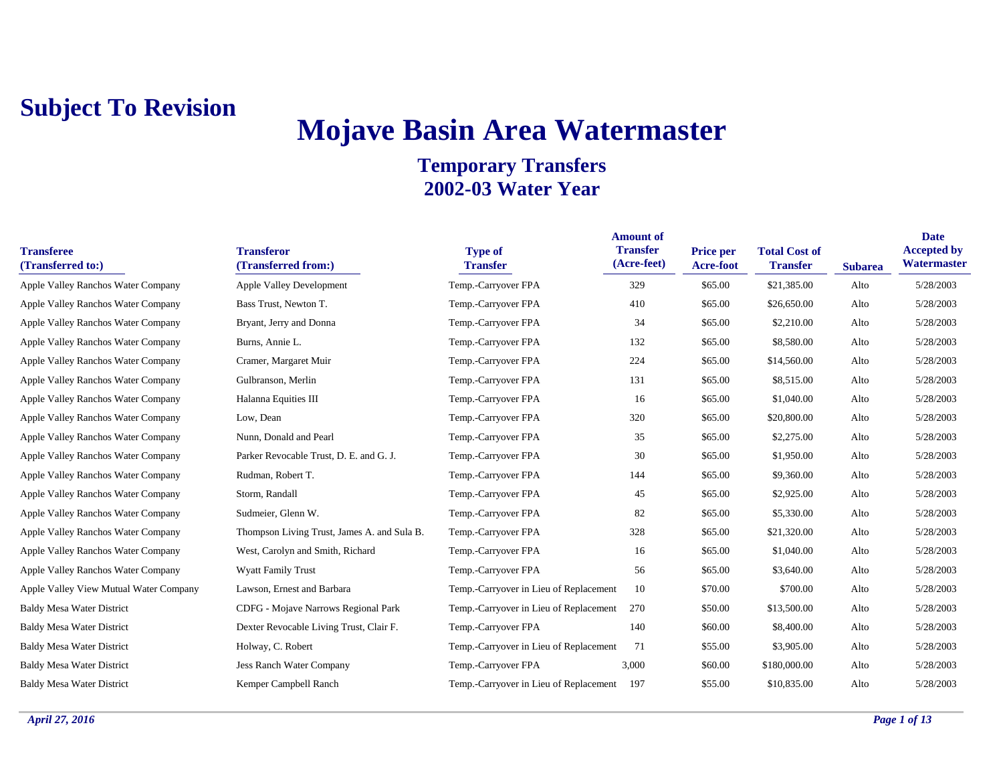# **Mojave Basin Area Watermaster**

| <b>Transferee</b><br>(Transferred to:) | <b>Transferor</b><br>(Transferred from:)    | <b>Type of</b><br><b>Transfer</b>      | <b>Amount of</b><br><b>Transfer</b><br>(Acre-feet) | Price per<br><b>Acre-foot</b> | <b>Total Cost of</b><br><b>Transfer</b> | <b>Subarea</b> | <b>Date</b><br><b>Accepted by</b><br>Watermaster |
|----------------------------------------|---------------------------------------------|----------------------------------------|----------------------------------------------------|-------------------------------|-----------------------------------------|----------------|--------------------------------------------------|
| Apple Valley Ranchos Water Company     | <b>Apple Valley Development</b>             | Temp.-Carryover FPA                    | 329                                                | \$65.00                       | \$21,385.00                             | Alto           | 5/28/2003                                        |
| Apple Valley Ranchos Water Company     | Bass Trust, Newton T.                       | Temp.-Carryover FPA                    | 410                                                | \$65.00                       | \$26,650.00                             | Alto           | 5/28/2003                                        |
| Apple Valley Ranchos Water Company     | Bryant, Jerry and Donna                     | Temp.-Carryover FPA                    | 34                                                 | \$65.00                       | \$2,210.00                              | Alto           | 5/28/2003                                        |
| Apple Valley Ranchos Water Company     | Burns, Annie L.                             | Temp.-Carryover FPA                    | 132                                                | \$65.00                       | \$8,580.00                              | Alto           | 5/28/2003                                        |
| Apple Valley Ranchos Water Company     | Cramer, Margaret Muir                       | Temp.-Carryover FPA                    | 224                                                | \$65.00                       | \$14,560.00                             | Alto           | 5/28/2003                                        |
| Apple Valley Ranchos Water Company     | Gulbranson, Merlin                          | Temp.-Carryover FPA                    | 131                                                | \$65.00                       | \$8,515.00                              | Alto           | 5/28/2003                                        |
| Apple Valley Ranchos Water Company     | Halanna Equities III                        | Temp.-Carryover FPA                    | 16                                                 | \$65.00                       | \$1,040.00                              | Alto           | 5/28/2003                                        |
| Apple Valley Ranchos Water Company     | Low, Dean                                   | Temp.-Carryover FPA                    | 320                                                | \$65.00                       | \$20,800.00                             | Alto           | 5/28/2003                                        |
| Apple Valley Ranchos Water Company     | Nunn, Donald and Pearl                      | Temp.-Carryover FPA                    | 35                                                 | \$65.00                       | \$2,275.00                              | Alto           | 5/28/2003                                        |
| Apple Valley Ranchos Water Company     | Parker Revocable Trust, D. E. and G. J.     | Temp.-Carryover FPA                    | 30                                                 | \$65.00                       | \$1,950.00                              | Alto           | 5/28/2003                                        |
| Apple Valley Ranchos Water Company     | Rudman, Robert T.                           | Temp.-Carryover FPA                    | 144                                                | \$65.00                       | \$9,360.00                              | Alto           | 5/28/2003                                        |
| Apple Valley Ranchos Water Company     | Storm, Randall                              | Temp.-Carryover FPA                    | 45                                                 | \$65.00                       | \$2,925.00                              | Alto           | 5/28/2003                                        |
| Apple Valley Ranchos Water Company     | Sudmeier, Glenn W.                          | Temp.-Carryover FPA                    | 82                                                 | \$65.00                       | \$5,330.00                              | Alto           | 5/28/2003                                        |
| Apple Valley Ranchos Water Company     | Thompson Living Trust, James A. and Sula B. | Temp.-Carryover FPA                    | 328                                                | \$65.00                       | \$21,320.00                             | Alto           | 5/28/2003                                        |
| Apple Valley Ranchos Water Company     | West, Carolyn and Smith, Richard            | Temp.-Carryover FPA                    | 16                                                 | \$65.00                       | \$1,040.00                              | Alto           | 5/28/2003                                        |
| Apple Valley Ranchos Water Company     | <b>Wyatt Family Trust</b>                   | Temp.-Carryover FPA                    | 56                                                 | \$65.00                       | \$3,640.00                              | Alto           | 5/28/2003                                        |
| Apple Valley View Mutual Water Company | Lawson, Ernest and Barbara                  | Temp.-Carryover in Lieu of Replacement | 10                                                 | \$70.00                       | \$700.00                                | Alto           | 5/28/2003                                        |
| <b>Baldy Mesa Water District</b>       | CDFG - Mojave Narrows Regional Park         | Temp.-Carryover in Lieu of Replacement | 270                                                | \$50.00                       | \$13,500.00                             | Alto           | 5/28/2003                                        |
| <b>Baldy Mesa Water District</b>       | Dexter Revocable Living Trust, Clair F.     | Temp.-Carryover FPA                    | 140                                                | \$60.00                       | \$8,400.00                              | Alto           | 5/28/2003                                        |
| <b>Baldy Mesa Water District</b>       | Holway, C. Robert                           | Temp.-Carryover in Lieu of Replacement | 71                                                 | \$55.00                       | \$3,905.00                              | Alto           | 5/28/2003                                        |
| <b>Baldy Mesa Water District</b>       | Jess Ranch Water Company                    | Temp.-Carryover FPA                    | 3,000                                              | \$60.00                       | \$180,000.00                            | Alto           | 5/28/2003                                        |
| <b>Baldy Mesa Water District</b>       | Kemper Campbell Ranch                       | Temp.-Carryover in Lieu of Replacement | 197                                                | \$55.00                       | \$10,835.00                             | Alto           | 5/28/2003                                        |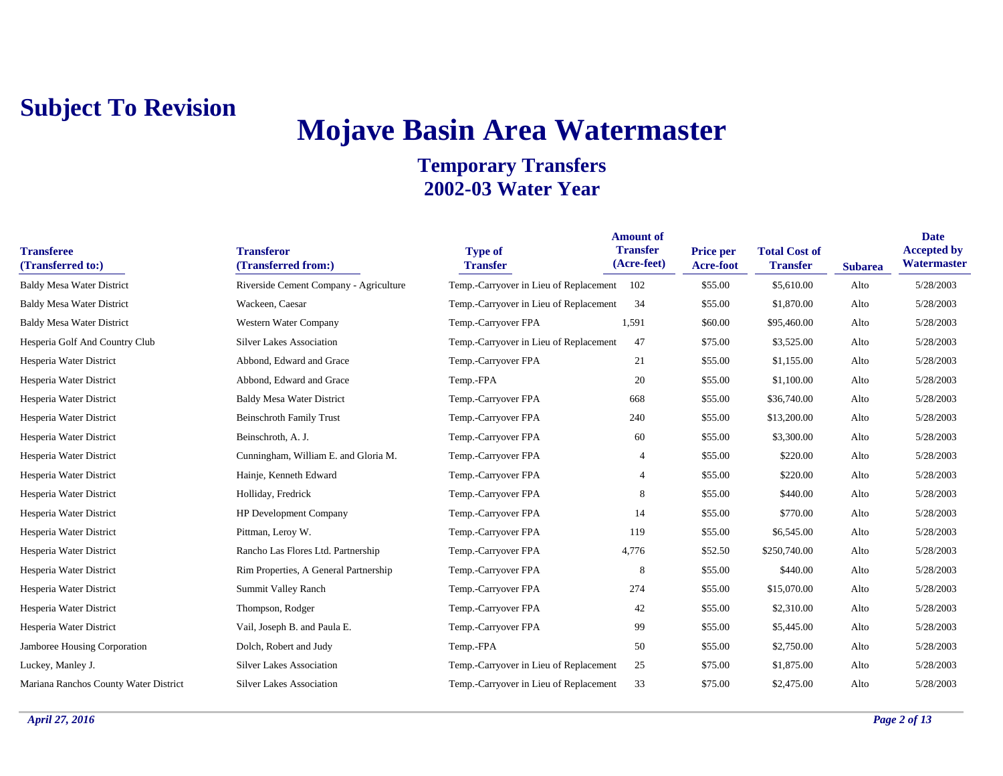# **Mojave Basin Area Watermaster**

| <b>Transferee</b><br>(Transferred to:) | <b>Transferor</b><br>(Transferred from:) | <b>Type of</b><br><b>Transfer</b>      | <b>Amount of</b><br><b>Transfer</b><br>(Acre-feet) | <b>Price per</b><br><b>Acre-foot</b> | <b>Total Cost of</b><br><b>Transfer</b> | <b>Subarea</b> | <b>Date</b><br><b>Accepted by</b><br>Watermaster |
|----------------------------------------|------------------------------------------|----------------------------------------|----------------------------------------------------|--------------------------------------|-----------------------------------------|----------------|--------------------------------------------------|
| <b>Baldy Mesa Water District</b>       | Riverside Cement Company - Agriculture   | Temp.-Carryover in Lieu of Replacement | 102                                                | \$55.00                              | \$5,610.00                              | Alto           | 5/28/2003                                        |
| <b>Baldy Mesa Water District</b>       | Wackeen, Caesar                          | Temp.-Carryover in Lieu of Replacement | 34                                                 | \$55.00                              | \$1,870.00                              | Alto           | 5/28/2003                                        |
| <b>Baldy Mesa Water District</b>       | Western Water Company                    | Temp.-Carryover FPA                    | 1,591                                              | \$60.00                              | \$95,460.00                             | Alto           | 5/28/2003                                        |
| Hesperia Golf And Country Club         | <b>Silver Lakes Association</b>          | Temp.-Carryover in Lieu of Replacement | 47                                                 | \$75.00                              | \$3,525.00                              | Alto           | 5/28/2003                                        |
| Hesperia Water District                | Abbond, Edward and Grace                 | Temp.-Carryover FPA                    | 21                                                 | \$55.00                              | \$1,155.00                              | Alto           | 5/28/2003                                        |
| Hesperia Water District                | Abbond, Edward and Grace                 | Temp.-FPA                              | 20                                                 | \$55.00                              | \$1,100.00                              | Alto           | 5/28/2003                                        |
| Hesperia Water District                | <b>Baldy Mesa Water District</b>         | Temp.-Carryover FPA                    | 668                                                | \$55.00                              | \$36,740.00                             | Alto           | 5/28/2003                                        |
| Hesperia Water District                | <b>Beinschroth Family Trust</b>          | Temp.-Carryover FPA                    | 240                                                | \$55.00                              | \$13,200.00                             | Alto           | 5/28/2003                                        |
| Hesperia Water District                | Beinschroth, A. J.                       | Temp.-Carryover FPA                    | 60                                                 | \$55.00                              | \$3,300.00                              | Alto           | 5/28/2003                                        |
| Hesperia Water District                | Cunningham, William E. and Gloria M.     | Temp.-Carryover FPA                    | 4                                                  | \$55.00                              | \$220.00                                | Alto           | 5/28/2003                                        |
| Hesperia Water District                | Hainje, Kenneth Edward                   | Temp.-Carryover FPA                    | 4                                                  | \$55.00                              | \$220.00                                | Alto           | 5/28/2003                                        |
| Hesperia Water District                | Holliday, Fredrick                       | Temp.-Carryover FPA                    | 8                                                  | \$55.00                              | \$440.00                                | Alto           | 5/28/2003                                        |
| Hesperia Water District                | HP Development Company                   | Temp.-Carryover FPA                    | 14                                                 | \$55.00                              | \$770.00                                | Alto           | 5/28/2003                                        |
| Hesperia Water District                | Pittman, Leroy W.                        | Temp.-Carryover FPA                    | 119                                                | \$55.00                              | \$6,545.00                              | Alto           | 5/28/2003                                        |
| Hesperia Water District                | Rancho Las Flores Ltd. Partnership       | Temp.-Carryover FPA                    | 4,776                                              | \$52.50                              | \$250,740.00                            | Alto           | 5/28/2003                                        |
| Hesperia Water District                | Rim Properties, A General Partnership    | Temp.-Carryover FPA                    | 8                                                  | \$55.00                              | \$440.00                                | Alto           | 5/28/2003                                        |
| Hesperia Water District                | <b>Summit Valley Ranch</b>               | Temp.-Carryover FPA                    | 274                                                | \$55.00                              | \$15,070.00                             | Alto           | 5/28/2003                                        |
| Hesperia Water District                | Thompson, Rodger                         | Temp.-Carryover FPA                    | 42                                                 | \$55.00                              | \$2,310.00                              | Alto           | 5/28/2003                                        |
| Hesperia Water District                | Vail, Joseph B. and Paula E.             | Temp.-Carryover FPA                    | 99                                                 | \$55.00                              | \$5,445.00                              | Alto           | 5/28/2003                                        |
| Jamboree Housing Corporation           | Dolch, Robert and Judy                   | Temp.-FPA                              | 50                                                 | \$55.00                              | \$2,750.00                              | Alto           | 5/28/2003                                        |
| Luckey, Manley J.                      | <b>Silver Lakes Association</b>          | Temp.-Carryover in Lieu of Replacement | 25                                                 | \$75.00                              | \$1,875.00                              | Alto           | 5/28/2003                                        |
| Mariana Ranchos County Water District  | <b>Silver Lakes Association</b>          | Temp.-Carryover in Lieu of Replacement | 33                                                 | \$75.00                              | \$2,475.00                              | Alto           | 5/28/2003                                        |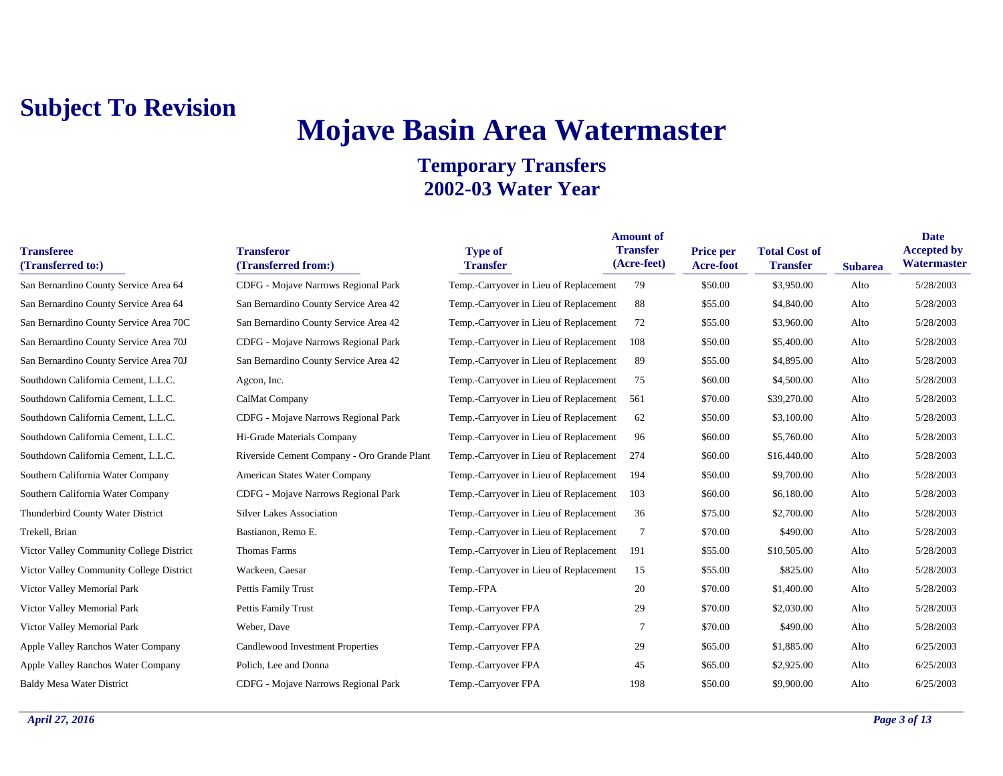# **Mojave Basin Area Watermaster**

| <b>Transferee</b><br>(Transferred to:)   | <b>Transferor</b><br>(Transferred from:)    | <b>Type of</b><br><b>Transfer</b>          | <b>Amount of</b><br><b>Transfer</b><br>(Acre-feet) | <b>Price per</b><br><b>Acre-foot</b> | <b>Total Cost of</b><br><b>Transfer</b> | <b>Subarea</b> | <b>Date</b><br><b>Accepted by</b><br>Watermaster |
|------------------------------------------|---------------------------------------------|--------------------------------------------|----------------------------------------------------|--------------------------------------|-----------------------------------------|----------------|--------------------------------------------------|
| San Bernardino County Service Area 64    | CDFG - Mojave Narrows Regional Park         | Temp.-Carryover in Lieu of Replacement     | 79                                                 | \$50.00                              | \$3,950.00                              | Alto           | 5/28/2003                                        |
| San Bernardino County Service Area 64    | San Bernardino County Service Area 42       | Temp.-Carryover in Lieu of Replacement     | 88                                                 | \$55.00                              | \$4,840.00                              | Alto           | 5/28/2003                                        |
| San Bernardino County Service Area 70C   | San Bernardino County Service Area 42       | Temp.-Carryover in Lieu of Replacement     | 72                                                 | \$55.00                              | \$3,960.00                              | Alto           | 5/28/2003                                        |
| San Bernardino County Service Area 70J   | CDFG - Mojave Narrows Regional Park         | Temp.-Carryover in Lieu of Replacement     | 108                                                | \$50.00                              | \$5,400.00                              | Alto           | 5/28/2003                                        |
| San Bernardino County Service Area 70J   | San Bernardino County Service Area 42       | Temp.-Carryover in Lieu of Replacement     | 89                                                 | \$55.00                              | \$4,895.00                              | Alto           | 5/28/2003                                        |
| Southdown California Cement, L.L.C.      | Agcon, Inc.                                 | Temp.-Carryover in Lieu of Replacement     | 75                                                 | \$60.00                              | \$4,500.00                              | Alto           | 5/28/2003                                        |
| Southdown California Cement, L.L.C.      | CalMat Company                              | Temp.-Carryover in Lieu of Replacement 561 |                                                    | \$70.00                              | \$39,270.00                             | Alto           | 5/28/2003                                        |
| Southdown California Cement, L.L.C.      | CDFG - Mojave Narrows Regional Park         | Temp.-Carryover in Lieu of Replacement     | 62                                                 | \$50.00                              | \$3,100.00                              | Alto           | 5/28/2003                                        |
| Southdown California Cement, L.L.C.      | Hi-Grade Materials Company                  | Temp.-Carryover in Lieu of Replacement     | 96                                                 | \$60.00                              | \$5,760.00                              | Alto           | 5/28/2003                                        |
| Southdown California Cement, L.L.C.      | Riverside Cement Company - Oro Grande Plant | Temp.-Carryover in Lieu of Replacement     | 274                                                | \$60.00                              | \$16,440.00                             | Alto           | 5/28/2003                                        |
| Southern California Water Company        | American States Water Company               | Temp.-Carryover in Lieu of Replacement     | 194                                                | \$50.00                              | \$9,700.00                              | Alto           | 5/28/2003                                        |
| Southern California Water Company        | CDFG - Mojave Narrows Regional Park         | Temp.-Carryover in Lieu of Replacement     | 103                                                | \$60.00                              | \$6,180.00                              | Alto           | 5/28/2003                                        |
| Thunderbird County Water District        | <b>Silver Lakes Association</b>             | Temp.-Carryover in Lieu of Replacement     | 36                                                 | \$75.00                              | \$2,700.00                              | Alto           | 5/28/2003                                        |
| Trekell, Brian                           | Bastianon, Remo E.                          | Temp.-Carryover in Lieu of Replacement     | $\overline{7}$                                     | \$70.00                              | \$490.00                                | Alto           | 5/28/2003                                        |
| Victor Valley Community College District | Thomas Farms                                | Temp.-Carryover in Lieu of Replacement     | 191                                                | \$55.00                              | \$10,505.00                             | Alto           | 5/28/2003                                        |
| Victor Valley Community College District | Wackeen, Caesar                             | Temp.-Carryover in Lieu of Replacement     | 15                                                 | \$55.00                              | \$825.00                                | Alto           | 5/28/2003                                        |
| Victor Valley Memorial Park              | Pettis Family Trust                         | Temp.-FPA                                  | 20                                                 | \$70.00                              | \$1,400.00                              | Alto           | 5/28/2003                                        |
| Victor Valley Memorial Park              | Pettis Family Trust                         | Temp.-Carryover FPA                        | 29                                                 | \$70.00                              | \$2,030.00                              | Alto           | 5/28/2003                                        |
| Victor Valley Memorial Park              | Weber, Dave                                 | Temp.-Carryover FPA                        | 7                                                  | \$70.00                              | \$490.00                                | Alto           | 5/28/2003                                        |
| Apple Valley Ranchos Water Company       | Candlewood Investment Properties            | Temp.-Carryover FPA                        | 29                                                 | \$65.00                              | \$1,885.00                              | Alto           | 6/25/2003                                        |
| Apple Valley Ranchos Water Company       | Polich, Lee and Donna                       | Temp.-Carryover FPA                        | 45                                                 | \$65.00                              | \$2,925.00                              | Alto           | 6/25/2003                                        |
| <b>Baldy Mesa Water District</b>         | CDFG - Mojave Narrows Regional Park         | Temp.-Carryover FPA                        | 198                                                | \$50.00                              | \$9,900.00                              | Alto           | 6/25/2003                                        |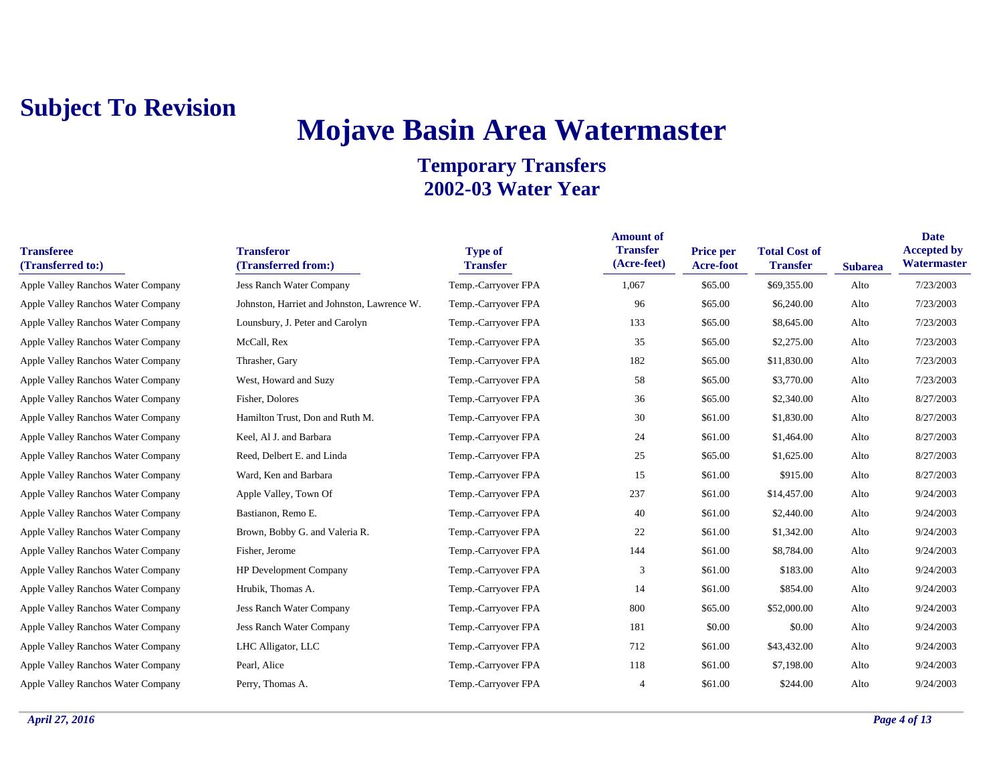## **Mojave Basin Area Watermaster**

| <b>Transferee</b><br>(Transferred to:) | <b>Transferor</b><br>(Transferred from:)    | <b>Type of</b><br><b>Transfer</b> | <b>Amount of</b><br><b>Transfer</b><br>(Acre-feet) | <b>Price per</b><br><b>Acre-foot</b> | <b>Total Cost of</b><br><b>Transfer</b> | <b>Subarea</b> | <b>Date</b><br><b>Accepted by</b><br><b>Watermaster</b> |
|----------------------------------------|---------------------------------------------|-----------------------------------|----------------------------------------------------|--------------------------------------|-----------------------------------------|----------------|---------------------------------------------------------|
| Apple Valley Ranchos Water Company     | <b>Jess Ranch Water Company</b>             | Temp.-Carryover FPA               | 1,067                                              | \$65.00                              | \$69,355.00                             | Alto           | 7/23/2003                                               |
| Apple Valley Ranchos Water Company     | Johnston, Harriet and Johnston, Lawrence W. | Temp.-Carryover FPA               | 96                                                 | \$65.00                              | \$6,240.00                              | Alto           | 7/23/2003                                               |
| Apple Valley Ranchos Water Company     | Lounsbury, J. Peter and Carolyn             | Temp.-Carryover FPA               | 133                                                | \$65.00                              | \$8,645.00                              | Alto           | 7/23/2003                                               |
| Apple Valley Ranchos Water Company     | McCall, Rex                                 | Temp.-Carryover FPA               | 35                                                 | \$65.00                              | \$2,275.00                              | Alto           | 7/23/2003                                               |
| Apple Valley Ranchos Water Company     | Thrasher, Gary                              | Temp.-Carryover FPA               | 182                                                | \$65.00                              | \$11,830.00                             | Alto           | 7/23/2003                                               |
| Apple Valley Ranchos Water Company     | West, Howard and Suzy                       | Temp.-Carryover FPA               | 58                                                 | \$65.00                              | \$3,770.00                              | Alto           | 7/23/2003                                               |
| Apple Valley Ranchos Water Company     | Fisher, Dolores                             | Temp.-Carryover FPA               | 36                                                 | \$65.00                              | \$2,340.00                              | Alto           | 8/27/2003                                               |
| Apple Valley Ranchos Water Company     | Hamilton Trust, Don and Ruth M.             | Temp.-Carryover FPA               | 30                                                 | \$61.00                              | \$1,830.00                              | Alto           | 8/27/2003                                               |
| Apple Valley Ranchos Water Company     | Keel, Al J. and Barbara                     | Temp.-Carryover FPA               | 24                                                 | \$61.00                              | \$1,464.00                              | Alto           | 8/27/2003                                               |
| Apple Valley Ranchos Water Company     | Reed, Delbert E. and Linda                  | Temp.-Carryover FPA               | 25                                                 | \$65.00                              | \$1,625.00                              | Alto           | 8/27/2003                                               |
| Apple Valley Ranchos Water Company     | Ward, Ken and Barbara                       | Temp.-Carryover FPA               | 15                                                 | \$61.00                              | \$915.00                                | Alto           | 8/27/2003                                               |
| Apple Valley Ranchos Water Company     | Apple Valley, Town Of                       | Temp.-Carryover FPA               | 237                                                | \$61.00                              | \$14,457.00                             | Alto           | 9/24/2003                                               |
| Apple Valley Ranchos Water Company     | Bastianon, Remo E.                          | Temp.-Carryover FPA               | 40                                                 | \$61.00                              | \$2,440.00                              | Alto           | 9/24/2003                                               |
| Apple Valley Ranchos Water Company     | Brown, Bobby G. and Valeria R.              | Temp.-Carryover FPA               | 22                                                 | \$61.00                              | \$1,342.00                              | Alto           | 9/24/2003                                               |
| Apple Valley Ranchos Water Company     | Fisher, Jerome                              | Temp.-Carryover FPA               | 144                                                | \$61.00                              | \$8,784.00                              | Alto           | 9/24/2003                                               |
| Apple Valley Ranchos Water Company     | HP Development Company                      | Temp.-Carryover FPA               | 3                                                  | \$61.00                              | \$183.00                                | Alto           | 9/24/2003                                               |
| Apple Valley Ranchos Water Company     | Hrubik, Thomas A.                           | Temp.-Carryover FPA               | 14                                                 | \$61.00                              | \$854.00                                | Alto           | 9/24/2003                                               |
| Apple Valley Ranchos Water Company     | Jess Ranch Water Company                    | Temp.-Carryover FPA               | 800                                                | \$65.00                              | \$52,000.00                             | Alto           | 9/24/2003                                               |
| Apple Valley Ranchos Water Company     | Jess Ranch Water Company                    | Temp.-Carryover FPA               | 181                                                | \$0.00                               | \$0.00                                  | Alto           | 9/24/2003                                               |
| Apple Valley Ranchos Water Company     | LHC Alligator, LLC                          | Temp.-Carryover FPA               | 712                                                | \$61.00                              | \$43,432.00                             | Alto           | 9/24/2003                                               |
| Apple Valley Ranchos Water Company     | Pearl, Alice                                | Temp.-Carryover FPA               | 118                                                | \$61.00                              | \$7,198.00                              | Alto           | 9/24/2003                                               |
| Apple Valley Ranchos Water Company     | Perry, Thomas A.                            | Temp.-Carryover FPA               | $\overline{4}$                                     | \$61.00                              | \$244.00                                | Alto           | 9/24/2003                                               |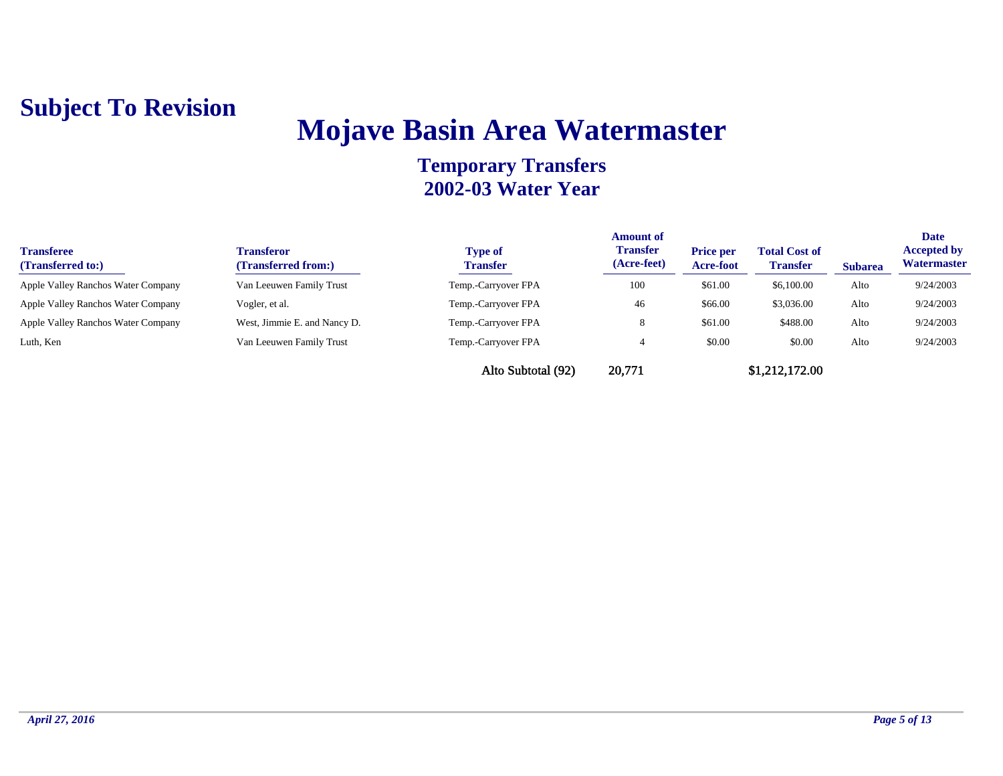## **Mojave Basin Area Watermaster**

| <b>Transferee</b><br>(Transferred to:) | <b>Transferor</b><br>(Transferred from:) | <b>Type of</b><br><b>Transfer</b> | <b>Amount of</b><br><b>Transfer</b><br>(Acre-feet) | <b>Price per</b><br>Acre-foot | <b>Total Cost of</b><br><b>Transfer</b> | <b>Subarea</b> | <b>Date</b><br><b>Accepted by</b><br><b>Watermaster</b> |
|----------------------------------------|------------------------------------------|-----------------------------------|----------------------------------------------------|-------------------------------|-----------------------------------------|----------------|---------------------------------------------------------|
| Apple Valley Ranchos Water Company     | Van Leeuwen Family Trust                 | Temp.-Carryover FPA               | 100                                                | \$61.00                       | \$6,100.00                              | Alto           | 9/24/2003                                               |
| Apple Valley Ranchos Water Company     | Vogler, et al.                           | Temp.-Carryover FPA               | 46                                                 | \$66.00                       | \$3,036.00                              | Alto           | 9/24/2003                                               |
| Apple Valley Ranchos Water Company     | West, Jimmie E. and Nancy D.             | Temp.-Carryover FPA               |                                                    | \$61.00                       | \$488.00                                | Alto           | 9/24/2003                                               |
| Luth, Ken                              | Van Leeuwen Family Trust                 | Temp.-Carryover FPA               |                                                    | \$0.00                        | \$0.00                                  | Alto           | 9/24/2003                                               |
|                                        |                                          | Alto Subtotal (92)                | 20,771                                             |                               | \$1,212,172.00                          |                |                                                         |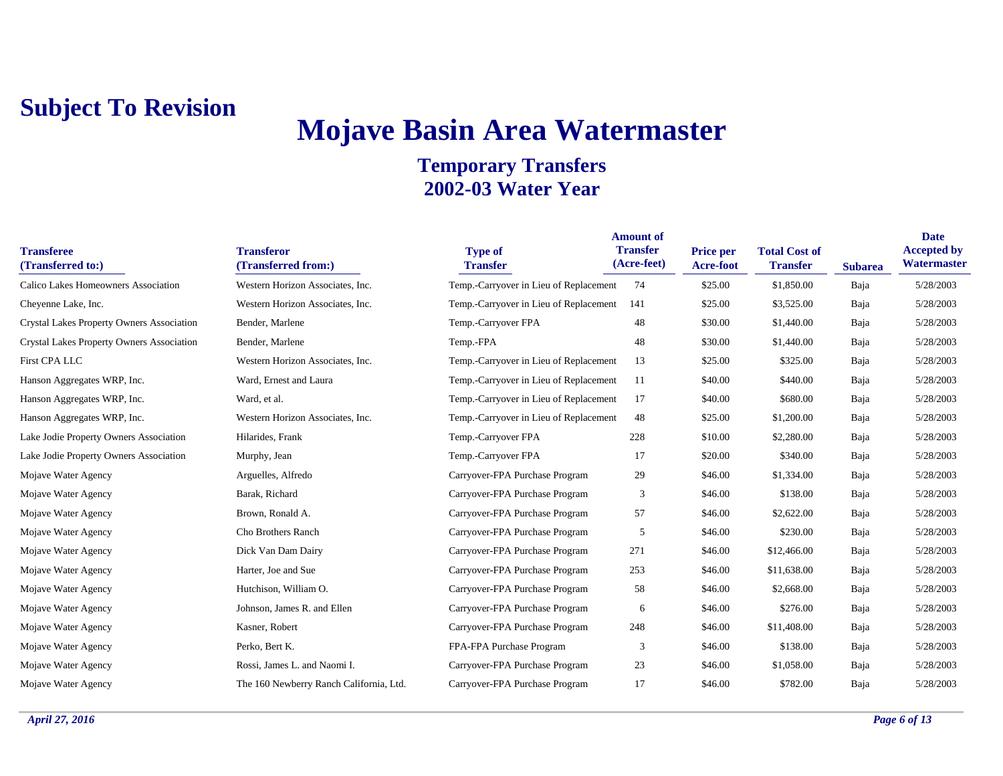## **Mojave Basin Area Watermaster**

| <b>Transferee</b><br>(Transferred to:)           | <b>Transferor</b><br>(Transferred from:) | <b>Type of</b><br><b>Transfer</b>      | <b>Amount of</b><br><b>Transfer</b><br>(Acre-feet) | <b>Price per</b><br>Acre-foot | <b>Total Cost of</b><br><b>Transfer</b> | <b>Subarea</b> | <b>Date</b><br><b>Accepted by</b><br>Watermaster |
|--------------------------------------------------|------------------------------------------|----------------------------------------|----------------------------------------------------|-------------------------------|-----------------------------------------|----------------|--------------------------------------------------|
| Calico Lakes Homeowners Association              | Western Horizon Associates, Inc.         | Temp.-Carryover in Lieu of Replacement | 74                                                 | \$25.00                       | \$1,850.00                              | Baja           | 5/28/2003                                        |
| Cheyenne Lake, Inc.                              | Western Horizon Associates, Inc.         | Temp.-Carryover in Lieu of Replacement | 141                                                | \$25.00                       | \$3,525.00                              | Baja           | 5/28/2003                                        |
| <b>Crystal Lakes Property Owners Association</b> | Bender, Marlene                          | Temp.-Carryover FPA                    | 48                                                 | \$30.00                       | \$1,440.00                              | Baja           | 5/28/2003                                        |
| <b>Crystal Lakes Property Owners Association</b> | Bender, Marlene                          | Temp.-FPA                              | 48                                                 | \$30.00                       | \$1,440.00                              | Baja           | 5/28/2003                                        |
| First CPA LLC                                    | Western Horizon Associates, Inc.         | Temp.-Carryover in Lieu of Replacement | 13                                                 | \$25.00                       | \$325.00                                | Baja           | 5/28/2003                                        |
| Hanson Aggregates WRP, Inc.                      | Ward, Ernest and Laura                   | Temp.-Carryover in Lieu of Replacement | 11                                                 | \$40.00                       | \$440.00                                | Baja           | 5/28/2003                                        |
| Hanson Aggregates WRP, Inc.                      | Ward, et al.                             | Temp.-Carryover in Lieu of Replacement | 17                                                 | \$40.00                       | \$680.00                                | Baja           | 5/28/2003                                        |
| Hanson Aggregates WRP, Inc.                      | Western Horizon Associates, Inc.         | Temp.-Carryover in Lieu of Replacement | 48                                                 | \$25.00                       | \$1,200.00                              | Baja           | 5/28/2003                                        |
| Lake Jodie Property Owners Association           | Hilarides, Frank                         | Temp.-Carryover FPA                    | 228                                                | \$10.00                       | \$2,280.00                              | Baja           | 5/28/2003                                        |
| Lake Jodie Property Owners Association           | Murphy, Jean                             | Temp.-Carryover FPA                    | 17                                                 | \$20.00                       | \$340.00                                | Baja           | 5/28/2003                                        |
| Mojave Water Agency                              | Arguelles, Alfredo                       | Carryover-FPA Purchase Program         | 29                                                 | \$46.00                       | \$1,334.00                              | Baja           | 5/28/2003                                        |
| Mojave Water Agency                              | Barak, Richard                           | Carryover-FPA Purchase Program         | 3                                                  | \$46.00                       | \$138.00                                | Baja           | 5/28/2003                                        |
| Mojave Water Agency                              | Brown, Ronald A.                         | Carryover-FPA Purchase Program         | 57                                                 | \$46.00                       | \$2,622.00                              | Baja           | 5/28/2003                                        |
| Mojave Water Agency                              | Cho Brothers Ranch                       | Carryover-FPA Purchase Program         | 5                                                  | \$46.00                       | \$230.00                                | Baja           | 5/28/2003                                        |
| Mojave Water Agency                              | Dick Van Dam Dairy                       | Carryover-FPA Purchase Program         | 271                                                | \$46.00                       | \$12,466.00                             | Baja           | 5/28/2003                                        |
| Mojave Water Agency                              | Harter, Joe and Sue                      | Carryover-FPA Purchase Program         | 253                                                | \$46.00                       | \$11,638.00                             | Baja           | 5/28/2003                                        |
| Mojave Water Agency                              | Hutchison, William O.                    | Carryover-FPA Purchase Program         | 58                                                 | \$46.00                       | \$2,668.00                              | Baja           | 5/28/2003                                        |
| Mojave Water Agency                              | Johnson, James R. and Ellen              | Carryover-FPA Purchase Program         | 6                                                  | \$46.00                       | \$276.00                                | Baja           | 5/28/2003                                        |
| Mojave Water Agency                              | Kasner, Robert                           | Carryover-FPA Purchase Program         | 248                                                | \$46.00                       | \$11,408.00                             | Baja           | 5/28/2003                                        |
| Mojave Water Agency                              | Perko, Bert K.                           | FPA-FPA Purchase Program               | 3                                                  | \$46.00                       | \$138.00                                | Baja           | 5/28/2003                                        |
| Mojave Water Agency                              | Rossi, James L. and Naomi I.             | Carryover-FPA Purchase Program         | 23                                                 | \$46.00                       | \$1,058.00                              | Baja           | 5/28/2003                                        |
| Mojave Water Agency                              | The 160 Newberry Ranch California, Ltd.  | Carryover-FPA Purchase Program         | 17                                                 | \$46.00                       | \$782.00                                | Baja           | 5/28/2003                                        |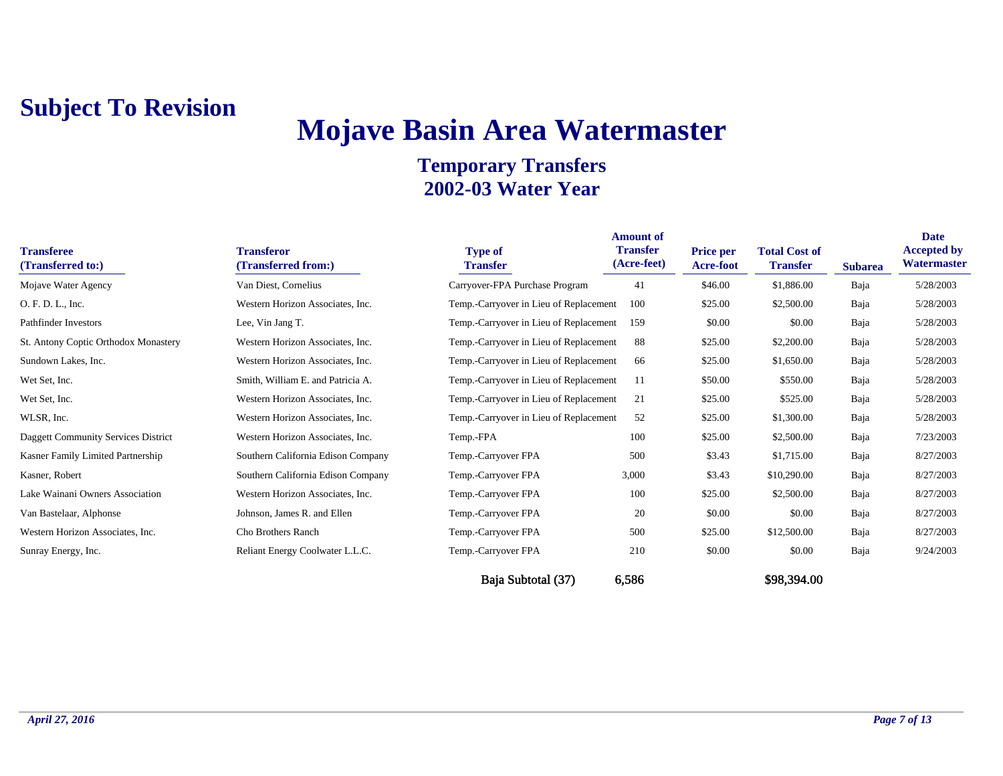# **Mojave Basin Area Watermaster**

#### **Temporary Transfers 2002-03 Water Year**

| <b>Transferee</b><br>(Transferred to:) | <b>Transferor</b><br>(Transferred from:) | <b>Type of</b><br><b>Transfer</b>      | <b>Amount of</b><br><b>Transfer</b><br>(Acre-feet) | <b>Price per</b><br><b>Acre-foot</b> | <b>Total Cost of</b><br><b>Transfer</b> | <b>Subarea</b> | <b>Date</b><br><b>Accepted by</b><br>Watermaster |
|----------------------------------------|------------------------------------------|----------------------------------------|----------------------------------------------------|--------------------------------------|-----------------------------------------|----------------|--------------------------------------------------|
| Mojave Water Agency                    | Van Diest, Cornelius                     | Carryover-FPA Purchase Program         | 41                                                 | \$46.00                              | \$1,886.00                              | Baja           | 5/28/2003                                        |
| O. F. D. L., Inc.                      | Western Horizon Associates, Inc.         | Temp.-Carryover in Lieu of Replacement | 100                                                | \$25.00                              | \$2,500.00                              | Baja           | 5/28/2003                                        |
| <b>Pathfinder Investors</b>            | Lee, Vin Jang T.                         | Temp.-Carryover in Lieu of Replacement | 159                                                | \$0.00                               | \$0.00                                  | Baja           | 5/28/2003                                        |
| St. Antony Coptic Orthodox Monastery   | Western Horizon Associates, Inc.         | Temp.-Carryover in Lieu of Replacement | 88                                                 | \$25.00                              | \$2,200.00                              | Baja           | 5/28/2003                                        |
| Sundown Lakes, Inc.                    | Western Horizon Associates, Inc.         | Temp.-Carryover in Lieu of Replacement | 66                                                 | \$25.00                              | \$1,650.00                              | Baja           | 5/28/2003                                        |
| Wet Set, Inc.                          | Smith, William E. and Patricia A.        | Temp.-Carryover in Lieu of Replacement | 11                                                 | \$50.00                              | \$550.00                                | Baja           | 5/28/2003                                        |
| Wet Set, Inc.                          | Western Horizon Associates, Inc.         | Temp.-Carryover in Lieu of Replacement | 21                                                 | \$25.00                              | \$525.00                                | Baja           | 5/28/2003                                        |
| WLSR, Inc.                             | Western Horizon Associates, Inc.         | Temp.-Carryover in Lieu of Replacement | 52                                                 | \$25.00                              | \$1,300.00                              | Baja           | 5/28/2003                                        |
| Daggett Community Services District    | Western Horizon Associates, Inc.         | Temp.-FPA                              | 100                                                | \$25.00                              | \$2,500.00                              | Baja           | 7/23/2003                                        |
| Kasner Family Limited Partnership      | Southern California Edison Company       | Temp.-Carryover FPA                    | 500                                                | \$3.43                               | \$1,715.00                              | Baja           | 8/27/2003                                        |
| Kasner, Robert                         | Southern California Edison Company       | Temp.-Carryover FPA                    | 3,000                                              | \$3.43                               | \$10,290.00                             | Baja           | 8/27/2003                                        |
| Lake Wainani Owners Association        | Western Horizon Associates, Inc.         | Temp.-Carryover FPA                    | 100                                                | \$25.00                              | \$2,500.00                              | Baja           | 8/27/2003                                        |
| Van Bastelaar, Alphonse                | Johnson, James R. and Ellen              | Temp.-Carryover FPA                    | 20                                                 | \$0.00                               | \$0.00                                  | Baja           | 8/27/2003                                        |
| Western Horizon Associates, Inc.       | Cho Brothers Ranch                       | Temp.-Carryover FPA                    | 500                                                | \$25.00                              | \$12,500.00                             | Baja           | 8/27/2003                                        |
| Sunray Energy, Inc.                    | Reliant Energy Coolwater L.L.C.          | Temp.-Carryover FPA                    | 210                                                | \$0.00                               | \$0.00                                  | Baja           | 9/24/2003                                        |
|                                        |                                          |                                        |                                                    |                                      |                                         |                |                                                  |

Baja Subtotal (37) 6,586 \$98,394.00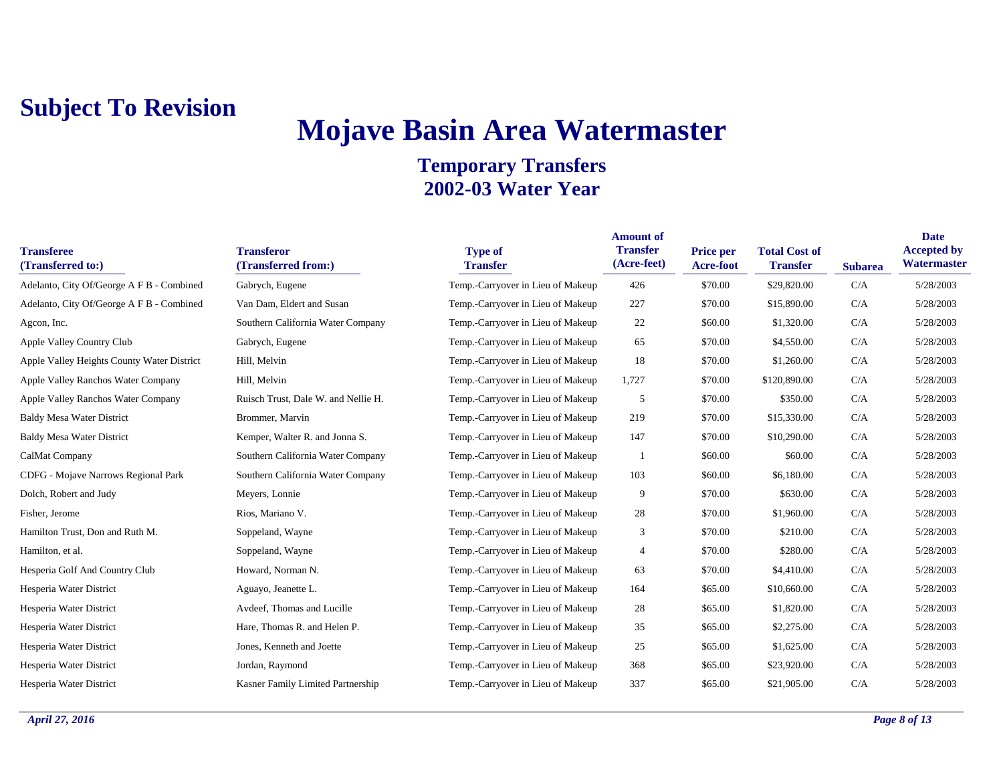## **Mojave Basin Area Watermaster**

| <b>Transferee</b><br>(Transferred to:)     | <b>Transferor</b><br>(Transferred from:) | <b>Type of</b><br><b>Transfer</b> | <b>Amount of</b><br><b>Transfer</b><br>(Acre-feet) | Price per<br>Acre-foot | <b>Total Cost of</b><br><b>Transfer</b> | <b>Subarea</b> | <b>Date</b><br><b>Accepted by</b><br>Watermaster |
|--------------------------------------------|------------------------------------------|-----------------------------------|----------------------------------------------------|------------------------|-----------------------------------------|----------------|--------------------------------------------------|
| Adelanto, City Of/George A F B - Combined  | Gabrych, Eugene                          | Temp.-Carryover in Lieu of Makeup | 426                                                | \$70.00                | \$29,820.00                             | C/A            | 5/28/2003                                        |
| Adelanto, City Of/George A F B - Combined  | Van Dam, Eldert and Susan                | Temp.-Carryover in Lieu of Makeup | 227                                                | \$70.00                | \$15,890.00                             | C/A            | 5/28/2003                                        |
| Agcon, Inc.                                | Southern California Water Company        | Temp.-Carryover in Lieu of Makeup | 22                                                 | \$60.00                | \$1,320.00                              | C/A            | 5/28/2003                                        |
| Apple Valley Country Club                  | Gabrych, Eugene                          | Temp.-Carryover in Lieu of Makeup | 65                                                 | \$70.00                | \$4,550.00                              | C/A            | 5/28/2003                                        |
| Apple Valley Heights County Water District | Hill, Melvin                             | Temp.-Carryover in Lieu of Makeup | 18                                                 | \$70.00                | \$1,260.00                              | C/A            | 5/28/2003                                        |
| Apple Valley Ranchos Water Company         | Hill, Melvin                             | Temp.-Carryover in Lieu of Makeup | 1,727                                              | \$70.00                | \$120,890.00                            | C/A            | 5/28/2003                                        |
| <b>Apple Valley Ranchos Water Company</b>  | Ruisch Trust, Dale W. and Nellie H.      | Temp.-Carryover in Lieu of Makeup | 5                                                  | \$70.00                | \$350.00                                | C/A            | 5/28/2003                                        |
| <b>Baldy Mesa Water District</b>           | Brommer, Marvin                          | Temp.-Carryover in Lieu of Makeup | 219                                                | \$70.00                | \$15,330.00                             | C/A            | 5/28/2003                                        |
| <b>Baldy Mesa Water District</b>           | Kemper, Walter R. and Jonna S.           | Temp.-Carryover in Lieu of Makeup | 147                                                | \$70.00                | \$10,290.00                             | C/A            | 5/28/2003                                        |
| CalMat Company                             | Southern California Water Company        | Temp.-Carryover in Lieu of Makeup |                                                    | \$60.00                | \$60.00                                 | C/A            | 5/28/2003                                        |
| <b>CDFG</b> - Mojave Narrows Regional Park | Southern California Water Company        | Temp.-Carryover in Lieu of Makeup | 103                                                | \$60.00                | \$6,180.00                              | C/A            | 5/28/2003                                        |
| Dolch, Robert and Judy                     | Meyers, Lonnie                           | Temp.-Carryover in Lieu of Makeup | 9                                                  | \$70.00                | \$630.00                                | C/A            | 5/28/2003                                        |
| Fisher, Jerome                             | Rios, Mariano V.                         | Temp.-Carryover in Lieu of Makeup | 28                                                 | \$70.00                | \$1,960.00                              | C/A            | 5/28/2003                                        |
| Hamilton Trust, Don and Ruth M.            | Soppeland, Wayne                         | Temp.-Carryover in Lieu of Makeup | 3                                                  | \$70.00                | \$210.00                                | C/A            | 5/28/2003                                        |
| Hamilton, et al.                           | Soppeland, Wayne                         | Temp.-Carryover in Lieu of Makeup | 4                                                  | \$70.00                | \$280.00                                | C/A            | 5/28/2003                                        |
| Hesperia Golf And Country Club             | Howard, Norman N.                        | Temp.-Carryover in Lieu of Makeup | 63                                                 | \$70.00                | \$4,410.00                              | C/A            | 5/28/2003                                        |
| Hesperia Water District                    | Aguayo, Jeanette L.                      | Temp.-Carryover in Lieu of Makeup | 164                                                | \$65.00                | \$10,660.00                             | C/A            | 5/28/2003                                        |
| Hesperia Water District                    | Avdeef, Thomas and Lucille               | Temp.-Carryover in Lieu of Makeup | 28                                                 | \$65.00                | \$1,820.00                              | C/A            | 5/28/2003                                        |
| Hesperia Water District                    | Hare, Thomas R. and Helen P.             | Temp.-Carryover in Lieu of Makeup | 35                                                 | \$65.00                | \$2,275.00                              | C/A            | 5/28/2003                                        |
| Hesperia Water District                    | Jones, Kenneth and Joette                | Temp.-Carryover in Lieu of Makeup | 25                                                 | \$65.00                | \$1,625.00                              | C/A            | 5/28/2003                                        |
| Hesperia Water District                    | Jordan, Raymond                          | Temp.-Carryover in Lieu of Makeup | 368                                                | \$65.00                | \$23,920.00                             | C/A            | 5/28/2003                                        |
| Hesperia Water District                    | Kasner Family Limited Partnership        | Temp.-Carryover in Lieu of Makeup | 337                                                | \$65.00                | \$21,905.00                             | C/A            | 5/28/2003                                        |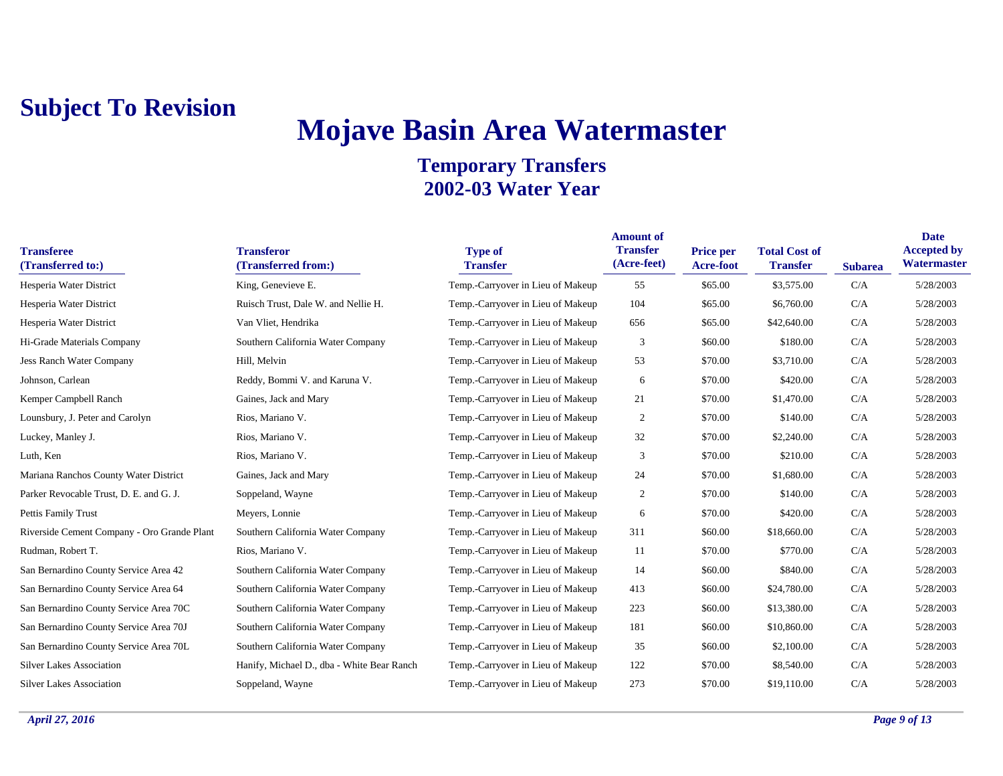## **Mojave Basin Area Watermaster**

| <b>Transferee</b><br>(Transferred to:)      | <b>Transferor</b><br>(Transferred from:)   | <b>Type of</b><br><b>Transfer</b> | <b>Amount of</b><br><b>Transfer</b><br>(Acre-feet) | <b>Price per</b><br>Acre-foot | <b>Total Cost of</b><br><b>Transfer</b> | <b>Subarea</b> | <b>Date</b><br><b>Accepted by</b><br>Watermaster |
|---------------------------------------------|--------------------------------------------|-----------------------------------|----------------------------------------------------|-------------------------------|-----------------------------------------|----------------|--------------------------------------------------|
| Hesperia Water District                     | King, Genevieve E.                         | Temp.-Carryover in Lieu of Makeup | 55                                                 | \$65.00                       | \$3,575.00                              | C/A            | 5/28/2003                                        |
| Hesperia Water District                     | Ruisch Trust, Dale W. and Nellie H.        | Temp.-Carryover in Lieu of Makeup | 104                                                | \$65.00                       | \$6,760.00                              | C/A            | 5/28/2003                                        |
| Hesperia Water District                     | Van Vliet, Hendrika                        | Temp.-Carryover in Lieu of Makeup | 656                                                | \$65.00                       | \$42,640.00                             | C/A            | 5/28/2003                                        |
| Hi-Grade Materials Company                  | Southern California Water Company          | Temp.-Carryover in Lieu of Makeup | 3                                                  | \$60.00                       | \$180.00                                | C/A            | 5/28/2003                                        |
| <b>Jess Ranch Water Company</b>             | Hill, Melvin                               | Temp.-Carryover in Lieu of Makeup | 53                                                 | \$70.00                       | \$3,710.00                              | C/A            | 5/28/2003                                        |
| Johnson, Carlean                            | Reddy, Bommi V. and Karuna V.              | Temp.-Carryover in Lieu of Makeup | 6                                                  | \$70.00                       | \$420.00                                | C/A            | 5/28/2003                                        |
| Kemper Campbell Ranch                       | Gaines, Jack and Mary                      | Temp.-Carryover in Lieu of Makeup | 21                                                 | \$70.00                       | \$1,470.00                              | C/A            | 5/28/2003                                        |
| Lounsbury, J. Peter and Carolyn             | Rios, Mariano V.                           | Temp.-Carryover in Lieu of Makeup | $\overline{2}$                                     | \$70.00                       | \$140.00                                | C/A            | 5/28/2003                                        |
| Luckey, Manley J.                           | Rios, Mariano V.                           | Temp.-Carryover in Lieu of Makeup | 32                                                 | \$70.00                       | \$2,240.00                              | C/A            | 5/28/2003                                        |
| Luth, Ken                                   | Rios, Mariano V.                           | Temp.-Carryover in Lieu of Makeup | 3                                                  | \$70.00                       | \$210.00                                | C/A            | 5/28/2003                                        |
| Mariana Ranchos County Water District       | Gaines, Jack and Mary                      | Temp.-Carryover in Lieu of Makeup | 24                                                 | \$70.00                       | \$1,680.00                              | C/A            | 5/28/2003                                        |
| Parker Revocable Trust, D. E. and G. J.     | Soppeland, Wayne                           | Temp.-Carryover in Lieu of Makeup | 2                                                  | \$70.00                       | \$140.00                                | C/A            | 5/28/2003                                        |
| Pettis Family Trust                         | Meyers, Lonnie                             | Temp.-Carryover in Lieu of Makeup | 6                                                  | \$70.00                       | \$420.00                                | C/A            | 5/28/2003                                        |
| Riverside Cement Company - Oro Grande Plant | Southern California Water Company          | Temp.-Carryover in Lieu of Makeup | 311                                                | \$60.00                       | \$18,660.00                             | C/A            | 5/28/2003                                        |
| Rudman, Robert T.                           | Rios, Mariano V.                           | Temp.-Carryover in Lieu of Makeup | 11                                                 | \$70.00                       | \$770.00                                | C/A            | 5/28/2003                                        |
| San Bernardino County Service Area 42       | Southern California Water Company          | Temp.-Carryover in Lieu of Makeup | 14                                                 | \$60.00                       | \$840.00                                | C/A            | 5/28/2003                                        |
| San Bernardino County Service Area 64       | Southern California Water Company          | Temp.-Carryover in Lieu of Makeup | 413                                                | \$60.00                       | \$24,780.00                             | C/A            | 5/28/2003                                        |
| San Bernardino County Service Area 70C      | Southern California Water Company          | Temp.-Carryover in Lieu of Makeup | 223                                                | \$60.00                       | \$13,380.00                             | C/A            | 5/28/2003                                        |
| San Bernardino County Service Area 70J      | Southern California Water Company          | Temp.-Carryover in Lieu of Makeup | 181                                                | \$60.00                       | \$10,860.00                             | C/A            | 5/28/2003                                        |
| San Bernardino County Service Area 70L      | Southern California Water Company          | Temp.-Carryover in Lieu of Makeup | 35                                                 | \$60.00                       | \$2,100.00                              | C/A            | 5/28/2003                                        |
| <b>Silver Lakes Association</b>             | Hanify, Michael D., dba - White Bear Ranch | Temp.-Carryover in Lieu of Makeup | 122                                                | \$70.00                       | \$8,540.00                              | C/A            | 5/28/2003                                        |
| <b>Silver Lakes Association</b>             | Soppeland, Wayne                           | Temp.-Carryover in Lieu of Makeup | 273                                                | \$70.00                       | \$19,110.00                             | C/A            | 5/28/2003                                        |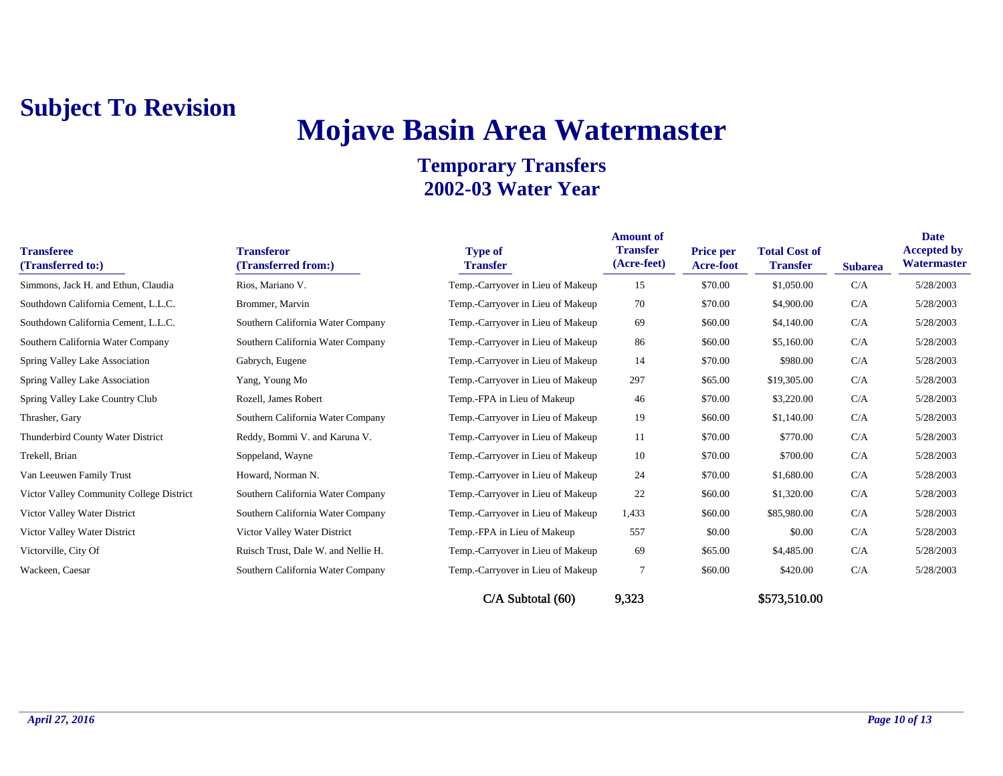## **Mojave Basin Area Watermaster**

| <b>Transferee</b><br>(Transferred to:)   | <b>Transferor</b><br>(Transferred from:) | <b>Type of</b><br><b>Transfer</b> | <b>Amount of</b><br><b>Transfer</b><br>(Acre-feet) | Price per<br>Acre-foot | <b>Total Cost of</b><br><b>Transfer</b> | <b>Subarea</b> | <b>Date</b><br><b>Accepted by</b><br>Watermaster |
|------------------------------------------|------------------------------------------|-----------------------------------|----------------------------------------------------|------------------------|-----------------------------------------|----------------|--------------------------------------------------|
| Simmons, Jack H. and Ethun, Claudia      | Rios, Mariano V.                         | Temp.-Carryover in Lieu of Makeup | 15                                                 | \$70.00                | \$1,050.00                              | C/A            | 5/28/2003                                        |
| Southdown California Cement, L.L.C.      | Brommer, Marvin                          | Temp.-Carryover in Lieu of Makeup | 70                                                 | \$70.00                | \$4,900.00                              | C/A            | 5/28/2003                                        |
| Southdown California Cement, L.L.C.      | Southern California Water Company        | Temp.-Carryover in Lieu of Makeup | 69                                                 | \$60.00                | \$4,140.00                              | C/A            | 5/28/2003                                        |
| Southern California Water Company        | Southern California Water Company        | Temp.-Carryover in Lieu of Makeup | 86                                                 | \$60.00                | \$5,160.00                              | C/A            | 5/28/2003                                        |
| Spring Valley Lake Association           | Gabrych, Eugene                          | Temp.-Carryover in Lieu of Makeup | 14                                                 | \$70.00                | \$980.00                                | C/A            | 5/28/2003                                        |
| Spring Valley Lake Association           | Yang, Young Mo                           | Temp.-Carryover in Lieu of Makeup | 297                                                | \$65.00                | \$19,305.00                             | C/A            | 5/28/2003                                        |
| Spring Valley Lake Country Club          | Rozell, James Robert                     | Temp.-FPA in Lieu of Makeup       | 46                                                 | \$70.00                | \$3,220.00                              | C/A            | 5/28/2003                                        |
| Thrasher, Gary                           | Southern California Water Company        | Temp.-Carryover in Lieu of Makeup | 19                                                 | \$60.00                | \$1,140.00                              | C/A            | 5/28/2003                                        |
| Thunderbird County Water District        | Reddy, Bommi V. and Karuna V.            | Temp.-Carryover in Lieu of Makeup | 11                                                 | \$70.00                | \$770.00                                | C/A            | 5/28/2003                                        |
| Trekell, Brian                           | Soppeland, Wayne                         | Temp.-Carryover in Lieu of Makeup | 10                                                 | \$70.00                | \$700.00                                | C/A            | 5/28/2003                                        |
| Van Leeuwen Family Trust                 | Howard, Norman N.                        | Temp.-Carryover in Lieu of Makeup | 24                                                 | \$70.00                | \$1,680.00                              | C/A            | 5/28/2003                                        |
| Victor Valley Community College District | Southern California Water Company        | Temp.-Carryover in Lieu of Makeup | 22                                                 | \$60.00                | \$1,320.00                              | C/A            | 5/28/2003                                        |
| Victor Valley Water District             | Southern California Water Company        | Temp.-Carryover in Lieu of Makeup | 1,433                                              | \$60.00                | \$85,980.00                             | C/A            | 5/28/2003                                        |
| Victor Valley Water District             | Victor Valley Water District             | Temp.-FPA in Lieu of Makeup       | 557                                                | \$0.00                 | \$0.00                                  | C/A            | 5/28/2003                                        |
| Victorville, City Of                     | Ruisch Trust, Dale W. and Nellie H.      | Temp.-Carryover in Lieu of Makeup | 69                                                 | \$65.00                | \$4,485.00                              | C/A            | 5/28/2003                                        |
| Wackeen, Caesar                          | Southern California Water Company        | Temp.-Carryover in Lieu of Makeup | $\overline{7}$                                     | \$60.00                | \$420.00                                | C/A            | 5/28/2003                                        |
|                                          |                                          | C/A Subtotal (60)                 | 9,323                                              |                        | \$573,510.00                            |                |                                                  |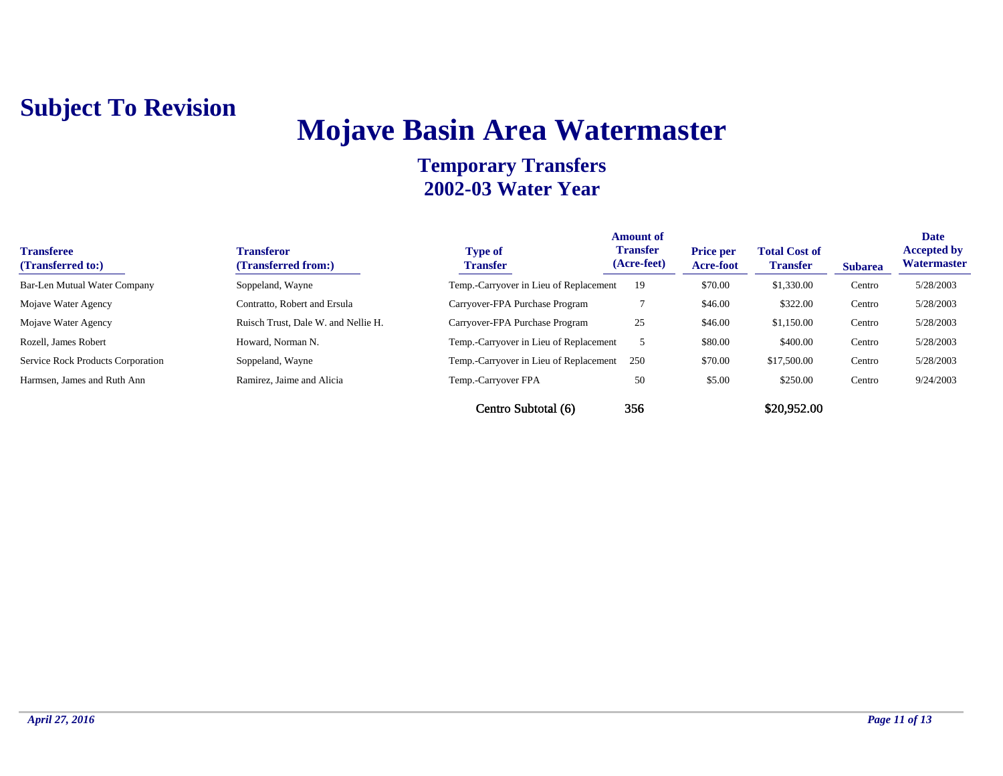## **Mojave Basin Area Watermaster**

| <b>Transferee</b><br>(Transferred to:)   | Transferor<br>(Transferred from:)   | <b>Type of</b><br><b>Transfer</b>      | <b>Amount of</b><br><b>Transfer</b><br>(Acre-feet) | <b>Price per</b><br>Acre-foot | <b>Total Cost of</b><br><b>Transfer</b> | <b>Subarea</b> | <b>Date</b><br><b>Accepted by</b><br>Watermaster |
|------------------------------------------|-------------------------------------|----------------------------------------|----------------------------------------------------|-------------------------------|-----------------------------------------|----------------|--------------------------------------------------|
| Bar-Len Mutual Water Company             | Soppeland, Wayne                    | Temp.-Carryover in Lieu of Replacement | 19                                                 | \$70.00                       | \$1,330.00                              | Centro         | 5/28/2003                                        |
| Mojave Water Agency                      | Contratto, Robert and Ersula        | Carryover-FPA Purchase Program         |                                                    | \$46.00                       | \$322.00                                | Centro         | 5/28/2003                                        |
| Mojave Water Agency                      | Ruisch Trust, Dale W. and Nellie H. | Carryover-FPA Purchase Program         | 25                                                 | \$46.00                       | \$1,150.00                              | Centro         | 5/28/2003                                        |
| Rozell, James Robert                     | Howard, Norman N.                   | Temp.-Carryover in Lieu of Replacement |                                                    | \$80.00                       | \$400.00                                | Centro         | 5/28/2003                                        |
| <b>Service Rock Products Corporation</b> | Soppeland, Wayne                    | Temp.-Carryover in Lieu of Replacement | 250                                                | \$70.00                       | \$17,500.00                             | Centro         | 5/28/2003                                        |
| Harmsen, James and Ruth Ann              | Ramirez, Jaime and Alicia           | Temp.-Carryover FPA                    | 50                                                 | \$5.00                        | \$250.00                                | Centro         | 9/24/2003                                        |
|                                          |                                     | Centro Subtotal (6)                    | 356                                                |                               | \$20,952.00                             |                |                                                  |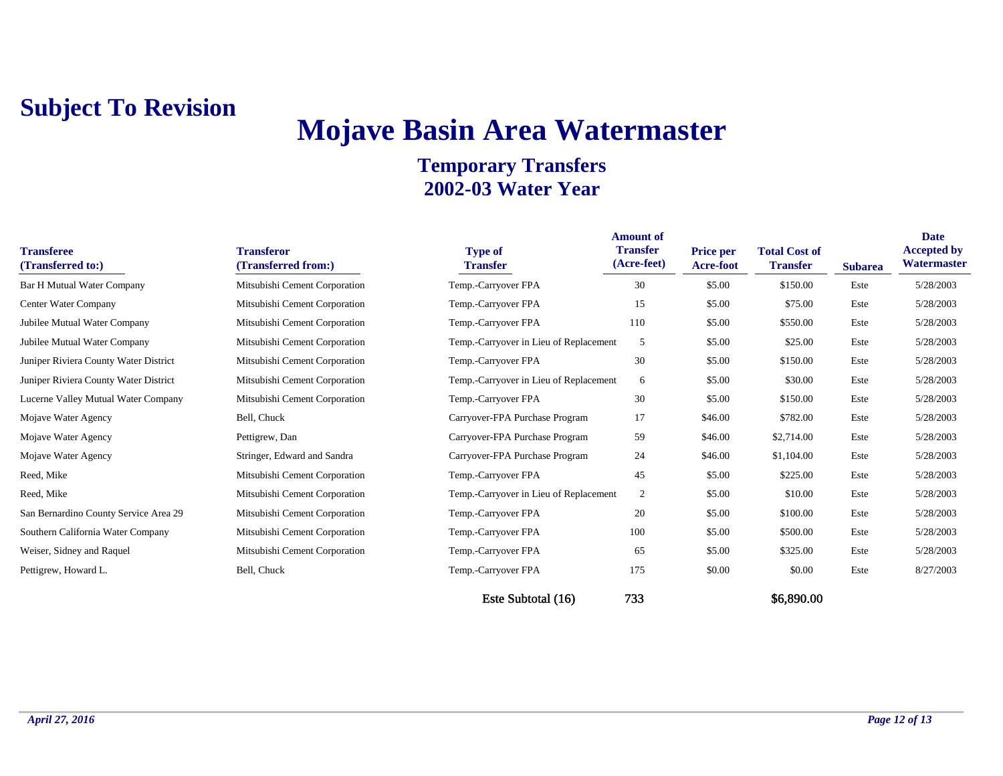## **Mojave Basin Area Watermaster**

| <b>Transferee</b><br>(Transferred to:) | <b>Transferor</b><br>(Transferred from:) | <b>Type of</b><br><b>Transfer</b>      | <b>Amount of</b><br><b>Transfer</b><br>(Acre-feet) | <b>Price per</b><br>Acre-foot | <b>Total Cost of</b><br><b>Transfer</b> | <b>Subarea</b> | <b>Date</b><br><b>Accepted by</b><br>Watermaster |
|----------------------------------------|------------------------------------------|----------------------------------------|----------------------------------------------------|-------------------------------|-----------------------------------------|----------------|--------------------------------------------------|
| <b>Bar H Mutual Water Company</b>      | Mitsubishi Cement Corporation            | Temp.-Carryover FPA                    | 30                                                 | \$5.00                        | \$150.00                                | Este           | 5/28/2003                                        |
| Center Water Company                   | Mitsubishi Cement Corporation            | Temp.-Carryover FPA                    | 15                                                 | \$5.00                        | \$75.00                                 | Este           | 5/28/2003                                        |
| Jubilee Mutual Water Company           | Mitsubishi Cement Corporation            | Temp.-Carryover FPA                    | 110                                                | \$5.00                        | \$550.00                                | Este           | 5/28/2003                                        |
| Jubilee Mutual Water Company           | Mitsubishi Cement Corporation            | Temp.-Carryover in Lieu of Replacement | 5                                                  | \$5.00                        | \$25.00                                 | Este           | 5/28/2003                                        |
| Juniper Riviera County Water District  | Mitsubishi Cement Corporation            | Temp.-Carryover FPA                    | 30                                                 | \$5.00                        | \$150.00                                | Este           | 5/28/2003                                        |
| Juniper Riviera County Water District  | Mitsubishi Cement Corporation            | Temp.-Carryover in Lieu of Replacement | 6                                                  | \$5.00                        | \$30.00                                 | Este           | 5/28/2003                                        |
| Lucerne Valley Mutual Water Company    | Mitsubishi Cement Corporation            | Temp.-Carryover FPA                    | 30                                                 | \$5.00                        | \$150.00                                | Este           | 5/28/2003                                        |
| Mojave Water Agency                    | Bell, Chuck                              | Carryover-FPA Purchase Program         | 17                                                 | \$46.00                       | \$782.00                                | Este           | 5/28/2003                                        |
| Mojave Water Agency                    | Pettigrew, Dan                           | Carryover-FPA Purchase Program         | 59                                                 | \$46.00                       | \$2,714.00                              | Este           | 5/28/2003                                        |
| Mojave Water Agency                    | Stringer, Edward and Sandra              | Carryover-FPA Purchase Program         | 24                                                 | \$46.00                       | \$1,104.00                              | Este           | 5/28/2003                                        |
| Reed, Mike                             | Mitsubishi Cement Corporation            | Temp.-Carryover FPA                    | 45                                                 | \$5.00                        | \$225.00                                | Este           | 5/28/2003                                        |
| Reed, Mike                             | Mitsubishi Cement Corporation            | Temp.-Carryover in Lieu of Replacement | 2                                                  | \$5.00                        | \$10.00                                 | Este           | 5/28/2003                                        |
| San Bernardino County Service Area 29  | Mitsubishi Cement Corporation            | Temp.-Carryover FPA                    | 20                                                 | \$5.00                        | \$100.00                                | Este           | 5/28/2003                                        |
| Southern California Water Company      | Mitsubishi Cement Corporation            | Temp.-Carryover FPA                    | 100                                                | \$5.00                        | \$500.00                                | Este           | 5/28/2003                                        |
| Weiser, Sidney and Raquel              | Mitsubishi Cement Corporation            | Temp.-Carryover FPA                    | 65                                                 | \$5.00                        | \$325.00                                | Este           | 5/28/2003                                        |
| Pettigrew, Howard L.                   | Bell, Chuck                              | Temp.-Carryover FPA                    | 175                                                | \$0.00                        | \$0.00                                  | Este           | 8/27/2003                                        |
|                                        |                                          | Este Subtotal (16)                     | 733                                                |                               | \$6,890.00                              |                |                                                  |